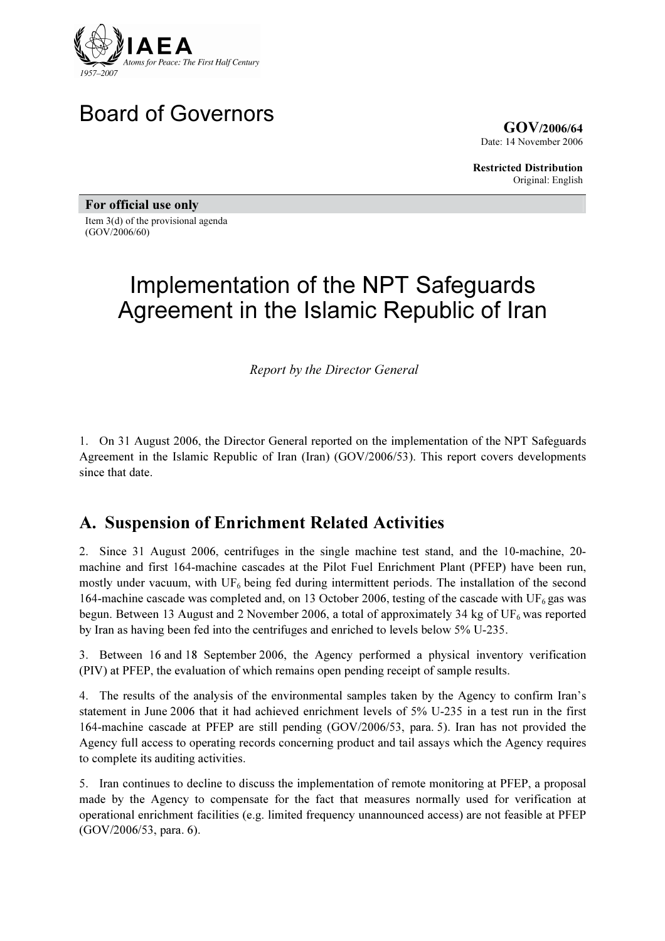

# Board of Governors

GOV/2006/64 Date: 14 November 2006

Restricted Distribution Original: English

For official use only Item 3(d) of the provisional agenda (GOV/2006/60)

# Implementation of the NPT Safeguards Agreement in the Islamic Republic of Iran

Report by the Director General

1. On 31 August 2006, the Director General reported on the implementation of the NPT Safeguards Agreement in the Islamic Republic of Iran (Iran) (GOV/2006/53). This report covers developments since that date.

# A. Suspension of Enrichment Related Activities

2. Since 31 August 2006, centrifuges in the single machine test stand, and the 10-machine, 20 machine and first 164-machine cascades at the Pilot Fuel Enrichment Plant (PFEP) have been run, mostly under vacuum, with  $UF_6$  being fed during intermittent periods. The installation of the second 164-machine cascade was completed and, on 13 October 2006, testing of the cascade with  $UF_6$  gas was begun. Between 13 August and 2 November 2006, a total of approximately 34 kg of UF<sub>6</sub> was reported by Iran as having been fed into the centrifuges and enriched to levels below 5% U-235.

3. Between 16 and 18 September 2006, the Agency performed a physical inventory verification (PIV) at PFEP, the evaluation of which remains open pending receipt of sample results.

4. The results of the analysis of the environmental samples taken by the Agency to confirm Iran's statement in June 2006 that it had achieved enrichment levels of 5% U-235 in a test run in the first 164-machine cascade at PFEP are still pending (GOV/2006/53, para. 5). Iran has not provided the Agency full access to operating records concerning product and tail assays which the Agency requires to complete its auditing activities.

5. Iran continues to decline to discuss the implementation of remote monitoring at PFEP, a proposal made by the Agency to compensate for the fact that measures normally used for verification at operational enrichment facilities (e.g. limited frequency unannounced access) are not feasible at PFEP (GOV/2006/53, para. 6).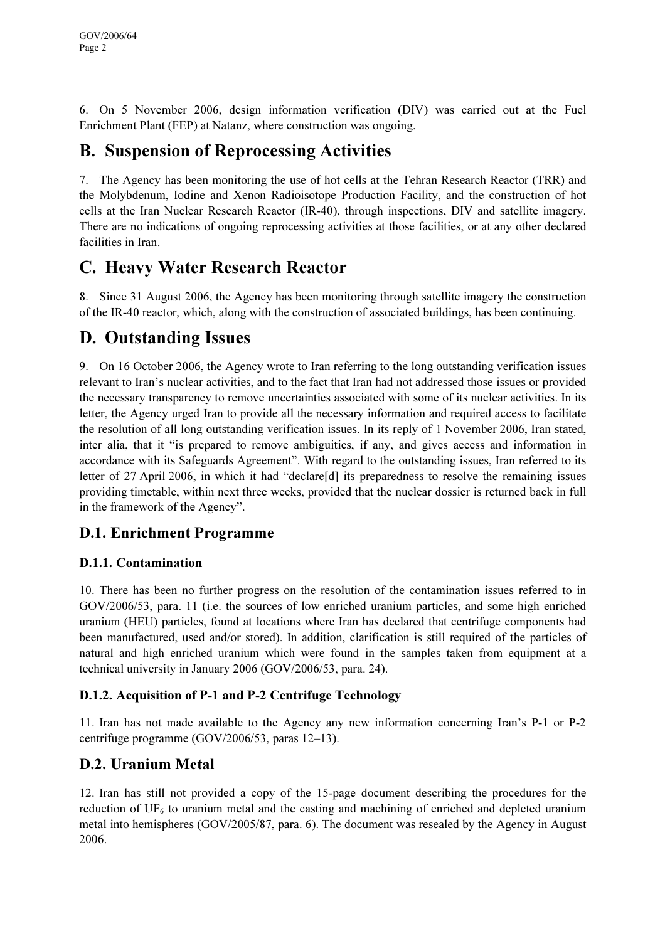6. On 5 November 2006, design information verification (DIV) was carried out at the Fuel Enrichment Plant (FEP) at Natanz, where construction was ongoing.

# B. Suspension of Reprocessing Activities

7. The Agency has been monitoring the use of hot cells at the Tehran Research Reactor (TRR) and the Molybdenum, Iodine and Xenon Radioisotope Production Facility, and the construction of hot cells at the Iran Nuclear Research Reactor (IR-40), through inspections, DIV and satellite imagery. There are no indications of ongoing reprocessing activities at those facilities, or at any other declared facilities in Iran.

# C. Heavy Water Research Reactor

8. Since 31 August 2006, the Agency has been monitoring through satellite imagery the construction of the IR-40 reactor, which, along with the construction of associated buildings, has been continuing.

# D. Outstanding Issues

9. On 16 October 2006, the Agency wrote to Iran referring to the long outstanding verification issues relevant to Iran's nuclear activities, and to the fact that Iran had not addressed those issues or provided the necessary transparency to remove uncertainties associated with some of its nuclear activities. In its letter, the Agency urged Iran to provide all the necessary information and required access to facilitate the resolution of all long outstanding verification issues. In its reply of 1 November 2006, Iran stated, inter alia, that it "is prepared to remove ambiguities, if any, and gives access and information in accordance with its Safeguards Agreement". With regard to the outstanding issues, Iran referred to its letter of 27 April 2006, in which it had "declare[d] its preparedness to resolve the remaining issues providing timetable, within next three weeks, provided that the nuclear dossier is returned back in full in the framework of the Agency".

### D.1. Enrichment Programme

#### D.1.1. Contamination

10. There has been no further progress on the resolution of the contamination issues referred to in GOV/2006/53, para. 11 (i.e. the sources of low enriched uranium particles, and some high enriched uranium (HEU) particles, found at locations where Iran has declared that centrifuge components had been manufactured, used and/or stored). In addition, clarification is still required of the particles of natural and high enriched uranium which were found in the samples taken from equipment at a technical university in January 2006 (GOV/2006/53, para. 24).

#### D.1.2. Acquisition of P-1 and P-2 Centrifuge Technology

11. Iran has not made available to the Agency any new information concerning Iran's P-1 or P-2 centrifuge programme (GOV/2006/53, paras 12–13).

### D.2. Uranium Metal

12. Iran has still not provided a copy of the 15-page document describing the procedures for the reduction of  $UF<sub>6</sub>$  to uranium metal and the casting and machining of enriched and depleted uranium metal into hemispheres (GOV/2005/87, para. 6). The document was resealed by the Agency in August 2006.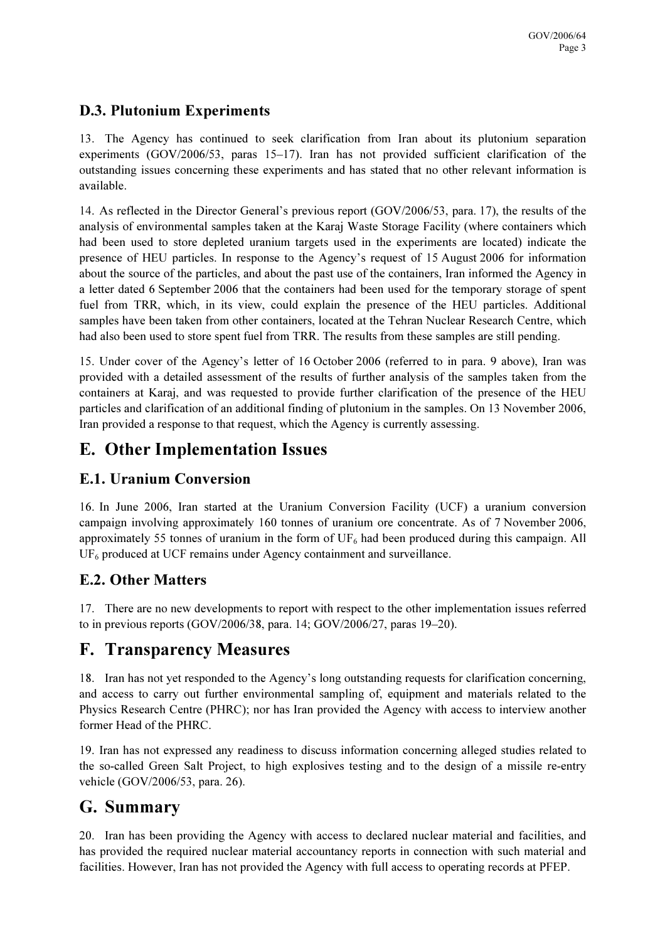### D.3. Plutonium Experiments

13. The Agency has continued to seek clarification from Iran about its plutonium separation experiments (GOV/2006/53, paras 15–17). Iran has not provided sufficient clarification of the outstanding issues concerning these experiments and has stated that no other relevant information is available.

14. As reflected in the Director General's previous report (GOV/2006/53, para. 17), the results of the analysis of environmental samples taken at the Karaj Waste Storage Facility (where containers which had been used to store depleted uranium targets used in the experiments are located) indicate the presence of HEU particles. In response to the Agency's request of 15 August 2006 for information about the source of the particles, and about the past use of the containers, Iran informed the Agency in a letter dated 6 September 2006 that the containers had been used for the temporary storage of spent fuel from TRR, which, in its view, could explain the presence of the HEU particles. Additional samples have been taken from other containers, located at the Tehran Nuclear Research Centre, which had also been used to store spent fuel from TRR. The results from these samples are still pending.

15. Under cover of the Agency's letter of 16 October 2006 (referred to in para. 9 above), Iran was provided with a detailed assessment of the results of further analysis of the samples taken from the containers at Karaj, and was requested to provide further clarification of the presence of the HEU particles and clarification of an additional finding of plutonium in the samples. On 13 November 2006, Iran provided a response to that request, which the Agency is currently assessing.

# E. Other Implementation Issues

### E.1. Uranium Conversion

16. In June 2006, Iran started at the Uranium Conversion Facility (UCF) a uranium conversion campaign involving approximately 160 tonnes of uranium ore concentrate. As of 7 November 2006, approximately 55 tonnes of uranium in the form of  $UF_6$  had been produced during this campaign. All  $UF<sub>6</sub>$  produced at UCF remains under Agency containment and surveillance.

### E.2. Other Matters

17. There are no new developments to report with respect to the other implementation issues referred to in previous reports (GOV/2006/38, para. 14; GOV/2006/27, paras 19–20).

# F. Transparency Measures

18. Iran has not yet responded to the Agency's long outstanding requests for clarification concerning, and access to carry out further environmental sampling of, equipment and materials related to the Physics Research Centre (PHRC); nor has Iran provided the Agency with access to interview another former Head of the PHRC.

19. Iran has not expressed any readiness to discuss information concerning alleged studies related to the so-called Green Salt Project, to high explosives testing and to the design of a missile re-entry vehicle (GOV/2006/53, para. 26).

# G. Summary

20. Iran has been providing the Agency with access to declared nuclear material and facilities, and has provided the required nuclear material accountancy reports in connection with such material and facilities. However, Iran has not provided the Agency with full access to operating records at PFEP.